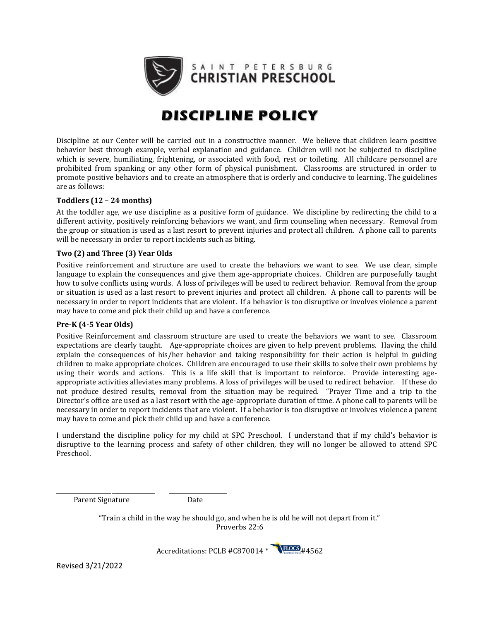

# **DISCIPLINE POLICY**

Discipline at our Center will be carried out in a constructive manner. We believe that children learn positive behavior best through example, verbal explanation and guidance. Children will not be subjected to discipline which is severe, humiliating, frightening, or associated with food, rest or toileting. All childcare personnel are prohibited from spanking or any other form of physical punishment. Classrooms are structured in order to promote positive behaviors and to create an atmosphere that is orderly and conducive to learning. The guidelines are as follows:

#### **Toddlers (12 – 24 months)**

At the toddler age, we use discipline as a positive form of guidance. We discipline by redirecting the child to a different activity, positively reinforcing behaviors we want, and firm counseling when necessary. Removal from the group or situation is used as a last resort to prevent injuries and protect all children. A phone call to parents will be necessary in order to report incidents such as biting.

#### **Two (2) and Three (3) Year Olds**

Positive reinforcement and structure are used to create the behaviors we want to see. We use clear, simple language to explain the consequences and give them age-appropriate choices. Children are purposefully taught how to solve conflicts using words. A loss of privileges will be used to redirect behavior. Removal from the group or situation is used as a last resort to prevent injuries and protect all children. A phone call to parents will be necessary in order to report incidents that are violent. If a behavior is too disruptive or involves violence a parent may have to come and pick their child up and have a conference.

#### **Pre-K (4-5 Year Olds)**

Positive Reinforcement and classroom structure are used to create the behaviors we want to see. Classroom expectations are clearly taught. Age-appropriate choices are given to help prevent problems. Having the child explain the consequences of his/her behavior and taking responsibility for their action is helpful in guiding children to make appropriate choices. Children are encouraged to use their skills to solve their own problems by using their words and actions. This is a life skill that is important to reinforce. Provide interesting ageappropriate activities alleviates many problems. A loss of privileges will be used to redirect behavior. If these do not produce desired results, removal from the situation may be required. "Prayer Time and a trip to the Director's office are used as a last resort with the age-appropriate duration of time. A phone call to parents will be necessary in order to report incidents that are violent. If a behavior is too disruptive or involves violence a parent may have to come and pick their child up and have a conference.

I understand the discipline policy for my child at SPC Preschool. I understand that if my child's behavior is disruptive to the learning process and safety of other children, they will no longer be allowed to attend SPC Preschool.

Parent Signature Date

\_\_\_\_\_\_\_\_\_\_\_\_\_\_\_\_\_\_\_\_\_\_\_\_\_\_\_\_\_\_\_\_\_\_ \_\_\_\_\_\_\_\_\_\_\_\_\_\_\_\_\_\_\_\_

"Train a child in the way he should go, and when he is old he will not depart from it." Proverbs 22:6



Revised 3/21/2022